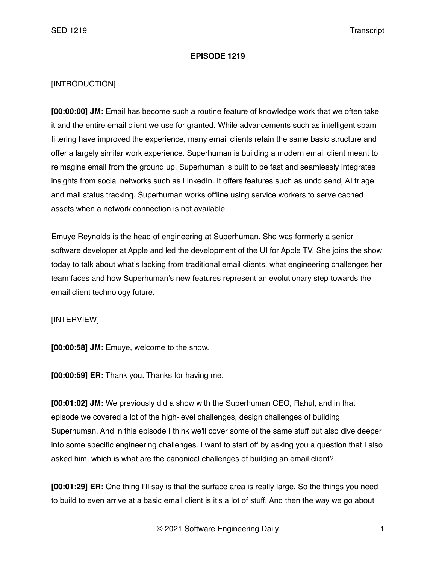## **EPISODE 1219**

## [INTRODUCTION]

**[00:00:00] JM:** Email has become such a routine feature of knowledge work that we often take it and the entire email client we use for granted. While advancements such as intelligent spam filtering have improved the experience, many email clients retain the same basic structure and offer a largely similar work experience. Superhuman is building a modern email client meant to reimagine email from the ground up. Superhuman is built to be fast and seamlessly integrates insights from social networks such as LinkedIn. It offers features such as undo send, AI triage and mail status tracking. Superhuman works offline using service workers to serve cached assets when a network connection is not available.

Emuye Reynolds is the head of engineering at Superhuman. She was formerly a senior software developer at Apple and led the development of the UI for Apple TV. She joins the show today to talk about what's lacking from traditional email clients, what engineering challenges her team faces and how Superhuman's new features represent an evolutionary step towards the email client technology future.

## [INTERVIEW]

**[00:00:58] JM:** Emuye, welcome to the show.

**[00:00:59] ER:** Thank you. Thanks for having me.

**[00:01:02] JM:** We previously did a show with the Superhuman CEO, Rahul, and in that episode we covered a lot of the high-level challenges, design challenges of building Superhuman. And in this episode I think we'll cover some of the same stuff but also dive deeper into some specific engineering challenges. I want to start off by asking you a question that I also asked him, which is what are the canonical challenges of building an email client?

**[00:01:29] ER:** One thing I'll say is that the surface area is really large. So the things you need to build to even arrive at a basic email client is it's a lot of stuff. And then the way we go about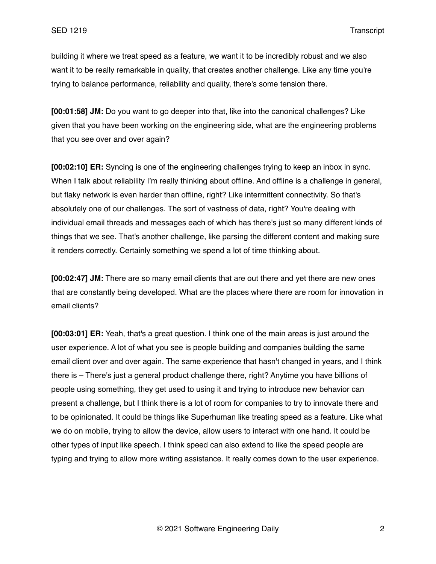building it where we treat speed as a feature, we want it to be incredibly robust and we also want it to be really remarkable in quality, that creates another challenge. Like any time you're trying to balance performance, reliability and quality, there's some tension there.

**[00:01:58] JM:** Do you want to go deeper into that, like into the canonical challenges? Like given that you have been working on the engineering side, what are the engineering problems that you see over and over again?

**[00:02:10] ER:** Syncing is one of the engineering challenges trying to keep an inbox in sync. When I talk about reliability I'm really thinking about offline. And offline is a challenge in general, but flaky network is even harder than offline, right? Like intermittent connectivity. So that's absolutely one of our challenges. The sort of vastness of data, right? You're dealing with individual email threads and messages each of which has there's just so many different kinds of things that we see. That's another challenge, like parsing the different content and making sure it renders correctly. Certainly something we spend a lot of time thinking about.

**[00:02:47] JM:** There are so many email clients that are out there and yet there are new ones that are constantly being developed. What are the places where there are room for innovation in email clients?

**[00:03:01] ER:** Yeah, that's a great question. I think one of the main areas is just around the user experience. A lot of what you see is people building and companies building the same email client over and over again. The same experience that hasn't changed in years, and I think there is – There's just a general product challenge there, right? Anytime you have billions of people using something, they get used to using it and trying to introduce new behavior can present a challenge, but I think there is a lot of room for companies to try to innovate there and to be opinionated. It could be things like Superhuman like treating speed as a feature. Like what we do on mobile, trying to allow the device, allow users to interact with one hand. It could be other types of input like speech. I think speed can also extend to like the speed people are typing and trying to allow more writing assistance. It really comes down to the user experience.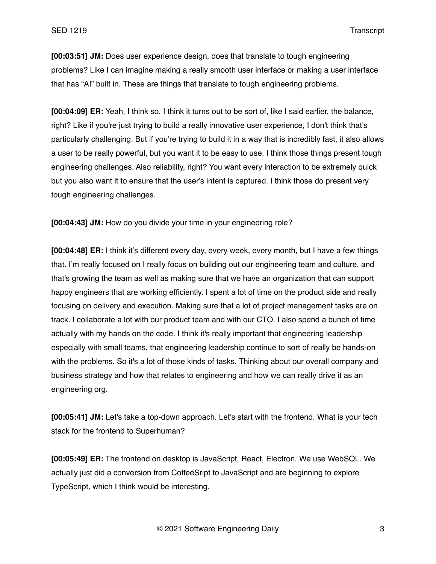**[00:03:51] JM:** Does user experience design, does that translate to tough engineering problems? Like I can imagine making a really smooth user interface or making a user interface that has "AI" built in. These are things that translate to tough engineering problems.

**[00:04:09] ER:** Yeah, I think so. I think it turns out to be sort of, like I said earlier, the balance, right? Like if you're just trying to build a really innovative user experience, I don't think that's particularly challenging. But if you're trying to build it in a way that is incredibly fast, it also allows a user to be really powerful, but you want it to be easy to use. I think those things present tough engineering challenges. Also reliability, right? You want every interaction to be extremely quick but you also want it to ensure that the user's intent is captured. I think those do present very tough engineering challenges.

**[00:04:43] JM:** How do you divide your time in your engineering role?

**[00:04:48] ER:** I think it's different every day, every week, every month, but I have a few things that. I'm really focused on I really focus on building out our engineering team and culture, and that's growing the team as well as making sure that we have an organization that can support happy engineers that are working efficiently. I spent a lot of time on the product side and really focusing on delivery and execution. Making sure that a lot of project management tasks are on track. I collaborate a lot with our product team and with our CTO. I also spend a bunch of time actually with my hands on the code. I think it's really important that engineering leadership especially with small teams, that engineering leadership continue to sort of really be hands-on with the problems. So it's a lot of those kinds of tasks. Thinking about our overall company and business strategy and how that relates to engineering and how we can really drive it as an engineering org.

**[00:05:41] JM:** Let's take a top-down approach. Let's start with the frontend. What is your tech stack for the frontend to Superhuman?

**[00:05:49] ER:** The frontend on desktop is JavaScript, React, Electron. We use WebSQL. We actually just did a conversion from CoffeeSript to JavaScript and are beginning to explore TypeScript, which I think would be interesting.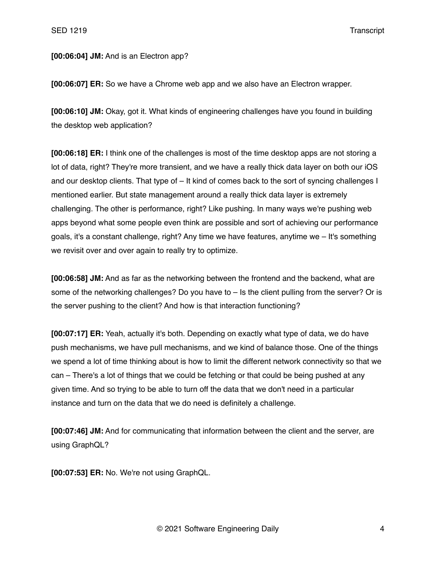## **[00:06:04] JM:** And is an Electron app?

**[00:06:07] ER:** So we have a Chrome web app and we also have an Electron wrapper.

**[00:06:10] JM:** Okay, got it. What kinds of engineering challenges have you found in building the desktop web application?

**[00:06:18] ER:** I think one of the challenges is most of the time desktop apps are not storing a lot of data, right? They're more transient, and we have a really thick data layer on both our iOS and our desktop clients. That type of – It kind of comes back to the sort of syncing challenges I mentioned earlier. But state management around a really thick data layer is extremely challenging. The other is performance, right? Like pushing. In many ways we're pushing web apps beyond what some people even think are possible and sort of achieving our performance goals, it's a constant challenge, right? Any time we have features, anytime we – It's something we revisit over and over again to really try to optimize.

**[00:06:58] JM:** And as far as the networking between the frontend and the backend, what are some of the networking challenges? Do you have to – Is the client pulling from the server? Or is the server pushing to the client? And how is that interaction functioning?

**[00:07:17] ER:** Yeah, actually it's both. Depending on exactly what type of data, we do have push mechanisms, we have pull mechanisms, and we kind of balance those. One of the things we spend a lot of time thinking about is how to limit the different network connectivity so that we can – There's a lot of things that we could be fetching or that could be being pushed at any given time. And so trying to be able to turn off the data that we don't need in a particular instance and turn on the data that we do need is definitely a challenge.

**[00:07:46] JM:** And for communicating that information between the client and the server, are using GraphQL?

**[00:07:53] ER:** No. We're not using GraphQL.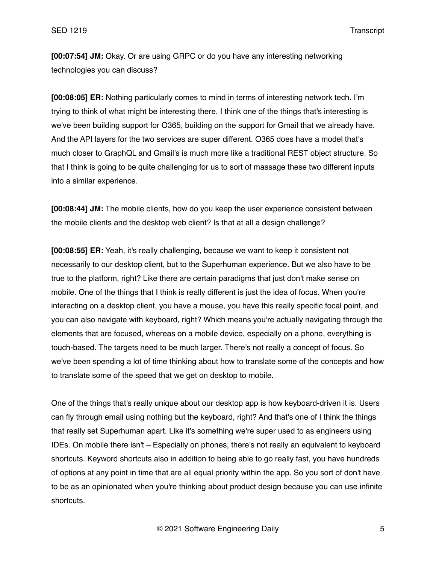**[00:07:54] JM:** Okay. Or are using GRPC or do you have any interesting networking technologies you can discuss?

**[00:08:05] ER:** Nothing particularly comes to mind in terms of interesting network tech. I'm trying to think of what might be interesting there. I think one of the things that's interesting is we've been building support for O365, building on the support for Gmail that we already have. And the API layers for the two services are super different. O365 does have a model that's much closer to GraphQL and Gmail's is much more like a traditional REST object structure. So that I think is going to be quite challenging for us to sort of massage these two different inputs into a similar experience.

**[00:08:44] JM:** The mobile clients, how do you keep the user experience consistent between the mobile clients and the desktop web client? Is that at all a design challenge?

**[00:08:55] ER:** Yeah, it's really challenging, because we want to keep it consistent not necessarily to our desktop client, but to the Superhuman experience. But we also have to be true to the platform, right? Like there are certain paradigms that just don't make sense on mobile. One of the things that I think is really different is just the idea of focus. When you're interacting on a desktop client, you have a mouse, you have this really specific focal point, and you can also navigate with keyboard, right? Which means you're actually navigating through the elements that are focused, whereas on a mobile device, especially on a phone, everything is touch-based. The targets need to be much larger. There's not really a concept of focus. So we've been spending a lot of time thinking about how to translate some of the concepts and how to translate some of the speed that we get on desktop to mobile.

One of the things that's really unique about our desktop app is how keyboard-driven it is. Users can fly through email using nothing but the keyboard, right? And that's one of I think the things that really set Superhuman apart. Like it's something we're super used to as engineers using IDEs. On mobile there isn't – Especially on phones, there's not really an equivalent to keyboard shortcuts. Keyword shortcuts also in addition to being able to go really fast, you have hundreds of options at any point in time that are all equal priority within the app. So you sort of don't have to be as an opinionated when you're thinking about product design because you can use infinite shortcuts.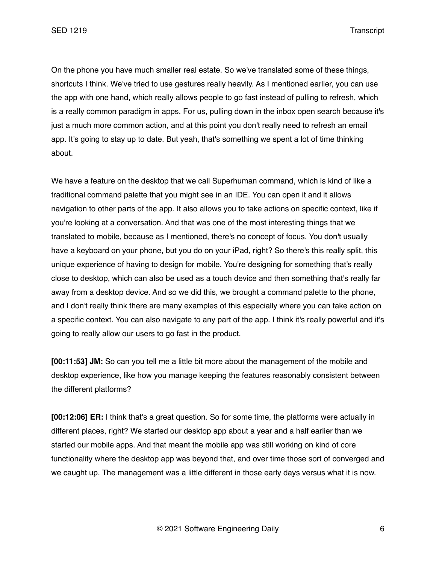SED 1219 Transcript

On the phone you have much smaller real estate. So we've translated some of these things, shortcuts I think. We've tried to use gestures really heavily. As I mentioned earlier, you can use the app with one hand, which really allows people to go fast instead of pulling to refresh, which is a really common paradigm in apps. For us, pulling down in the inbox open search because it's just a much more common action, and at this point you don't really need to refresh an email app. It's going to stay up to date. But yeah, that's something we spent a lot of time thinking about.

We have a feature on the desktop that we call Superhuman command, which is kind of like a traditional command palette that you might see in an IDE. You can open it and it allows navigation to other parts of the app. It also allows you to take actions on specific context, like if you're looking at a conversation. And that was one of the most interesting things that we translated to mobile, because as I mentioned, there's no concept of focus. You don't usually have a keyboard on your phone, but you do on your iPad, right? So there's this really split, this unique experience of having to design for mobile. You're designing for something that's really close to desktop, which can also be used as a touch device and then something that's really far away from a desktop device. And so we did this, we brought a command palette to the phone, and I don't really think there are many examples of this especially where you can take action on a specific context. You can also navigate to any part of the app. I think it's really powerful and it's going to really allow our users to go fast in the product.

**[00:11:53] JM:** So can you tell me a little bit more about the management of the mobile and desktop experience, like how you manage keeping the features reasonably consistent between the different platforms?

**[00:12:06] ER:** I think that's a great question. So for some time, the platforms were actually in different places, right? We started our desktop app about a year and a half earlier than we started our mobile apps. And that meant the mobile app was still working on kind of core functionality where the desktop app was beyond that, and over time those sort of converged and we caught up. The management was a little different in those early days versus what it is now.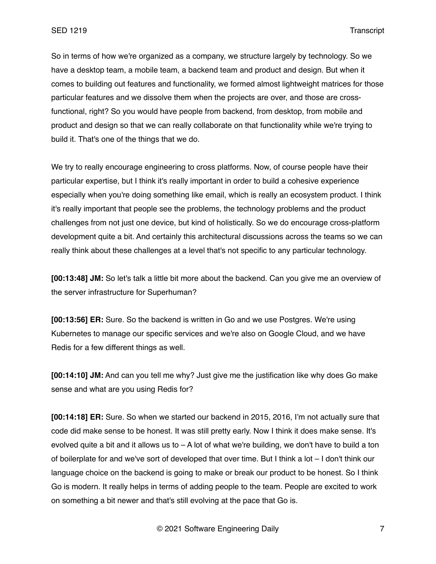So in terms of how we're organized as a company, we structure largely by technology. So we have a desktop team, a mobile team, a backend team and product and design. But when it comes to building out features and functionality, we formed almost lightweight matrices for those particular features and we dissolve them when the projects are over, and those are crossfunctional, right? So you would have people from backend, from desktop, from mobile and product and design so that we can really collaborate on that functionality while we're trying to build it. That's one of the things that we do.

We try to really encourage engineering to cross platforms. Now, of course people have their particular expertise, but I think it's really important in order to build a cohesive experience especially when you're doing something like email, which is really an ecosystem product. I think it's really important that people see the problems, the technology problems and the product challenges from not just one device, but kind of holistically. So we do encourage cross-platform development quite a bit. And certainly this architectural discussions across the teams so we can really think about these challenges at a level that's not specific to any particular technology.

**[00:13:48] JM:** So let's talk a little bit more about the backend. Can you give me an overview of the server infrastructure for Superhuman?

**[00:13:56] ER:** Sure. So the backend is written in Go and we use Postgres. We're using Kubernetes to manage our specific services and we're also on Google Cloud, and we have Redis for a few different things as well.

**[00:14:10] JM:** And can you tell me why? Just give me the justification like why does Go make sense and what are you using Redis for?

**[00:14:18] ER:** Sure. So when we started our backend in 2015, 2016, I'm not actually sure that code did make sense to be honest. It was still pretty early. Now I think it does make sense. It's evolved quite a bit and it allows us to  $- A$  lot of what we're building, we don't have to build a ton of boilerplate for and we've sort of developed that over time. But I think a lot – I don't think our language choice on the backend is going to make or break our product to be honest. So I think Go is modern. It really helps in terms of adding people to the team. People are excited to work on something a bit newer and that's still evolving at the pace that Go is.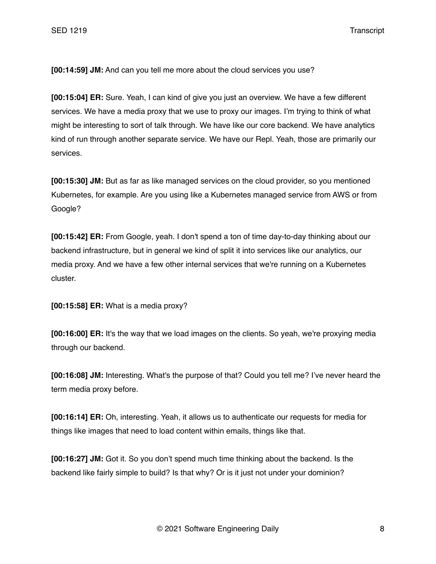**[00:14:59] JM:** And can you tell me more about the cloud services you use?

**[00:15:04] ER:** Sure. Yeah, I can kind of give you just an overview. We have a few different services. We have a media proxy that we use to proxy our images. I'm trying to think of what might be interesting to sort of talk through. We have like our core backend. We have analytics kind of run through another separate service. We have our Repl. Yeah, those are primarily our services.

**[00:15:30] JM:** But as far as like managed services on the cloud provider, so you mentioned Kubernetes, for example. Are you using like a Kubernetes managed service from AWS or from Google?

**[00:15:42] ER:** From Google, yeah. I don't spend a ton of time day-to-day thinking about our backend infrastructure, but in general we kind of split it into services like our analytics, our media proxy. And we have a few other internal services that we're running on a Kubernetes cluster.

**[00:15:58] ER:** What is a media proxy?

**[00:16:00] ER:** It's the way that we load images on the clients. So yeah, we're proxying media through our backend.

**[00:16:08] JM:** Interesting. What's the purpose of that? Could you tell me? I've never heard the term media proxy before.

**[00:16:14] ER:** Oh, interesting. Yeah, it allows us to authenticate our requests for media for things like images that need to load content within emails, things like that.

**[00:16:27] JM:** Got it. So you don't spend much time thinking about the backend. Is the backend like fairly simple to build? Is that why? Or is it just not under your dominion?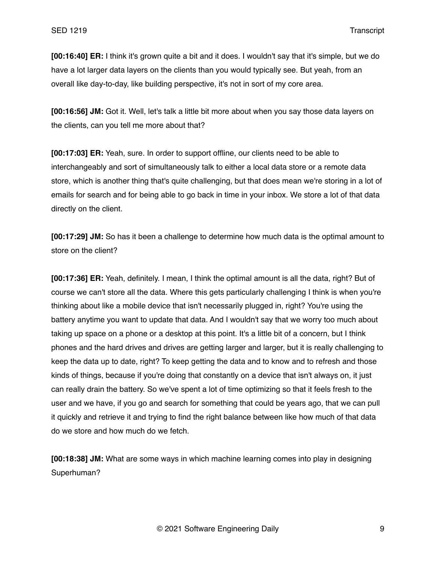**[00:16:40] ER:** I think it's grown quite a bit and it does. I wouldn't say that it's simple, but we do have a lot larger data layers on the clients than you would typically see. But yeah, from an overall like day-to-day, like building perspective, it's not in sort of my core area.

**[00:16:56] JM:** Got it. Well, let's talk a little bit more about when you say those data layers on the clients, can you tell me more about that?

**[00:17:03] ER:** Yeah, sure. In order to support offline, our clients need to be able to interchangeably and sort of simultaneously talk to either a local data store or a remote data store, which is another thing that's quite challenging, but that does mean we're storing in a lot of emails for search and for being able to go back in time in your inbox. We store a lot of that data directly on the client.

**[00:17:29] JM:** So has it been a challenge to determine how much data is the optimal amount to store on the client?

**[00:17:36] ER:** Yeah, definitely. I mean, I think the optimal amount is all the data, right? But of course we can't store all the data. Where this gets particularly challenging I think is when you're thinking about like a mobile device that isn't necessarily plugged in, right? You're using the battery anytime you want to update that data. And I wouldn't say that we worry too much about taking up space on a phone or a desktop at this point. It's a little bit of a concern, but I think phones and the hard drives and drives are getting larger and larger, but it is really challenging to keep the data up to date, right? To keep getting the data and to know and to refresh and those kinds of things, because if you're doing that constantly on a device that isn't always on, it just can really drain the battery. So we've spent a lot of time optimizing so that it feels fresh to the user and we have, if you go and search for something that could be years ago, that we can pull it quickly and retrieve it and trying to find the right balance between like how much of that data do we store and how much do we fetch.

**[00:18:38] JM:** What are some ways in which machine learning comes into play in designing Superhuman?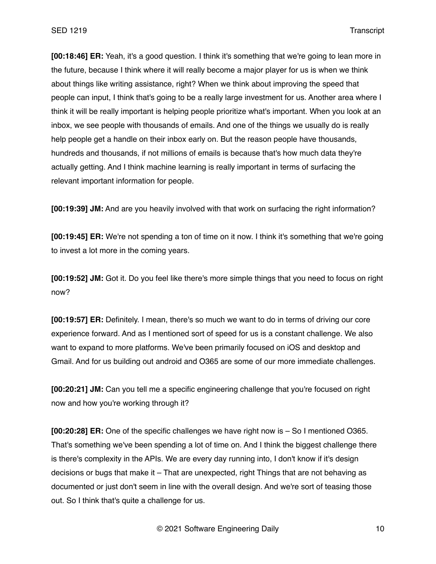**[00:18:46] ER:** Yeah, it's a good question. I think it's something that we're going to lean more in the future, because I think where it will really become a major player for us is when we think about things like writing assistance, right? When we think about improving the speed that people can input, I think that's going to be a really large investment for us. Another area where I think it will be really important is helping people prioritize what's important. When you look at an inbox, we see people with thousands of emails. And one of the things we usually do is really help people get a handle on their inbox early on. But the reason people have thousands, hundreds and thousands, if not millions of emails is because that's how much data they're actually getting. And I think machine learning is really important in terms of surfacing the relevant important information for people.

**[00:19:39] JM:** And are you heavily involved with that work on surfacing the right information?

**[00:19:45] ER:** We're not spending a ton of time on it now. I think it's something that we're going to invest a lot more in the coming years.

**[00:19:52] JM:** Got it. Do you feel like there's more simple things that you need to focus on right now?

**[00:19:57] ER:** Definitely. I mean, there's so much we want to do in terms of driving our core experience forward. And as I mentioned sort of speed for us is a constant challenge. We also want to expand to more platforms. We've been primarily focused on iOS and desktop and Gmail. And for us building out android and O365 are some of our more immediate challenges.

**[00:20:21] JM:** Can you tell me a specific engineering challenge that you're focused on right now and how you're working through it?

**[00:20:28] ER:** One of the specific challenges we have right now is – So I mentioned O365. That's something we've been spending a lot of time on. And I think the biggest challenge there is there's complexity in the APIs. We are every day running into, I don't know if it's design decisions or bugs that make it – That are unexpected, right Things that are not behaving as documented or just don't seem in line with the overall design. And we're sort of teasing those out. So I think that's quite a challenge for us.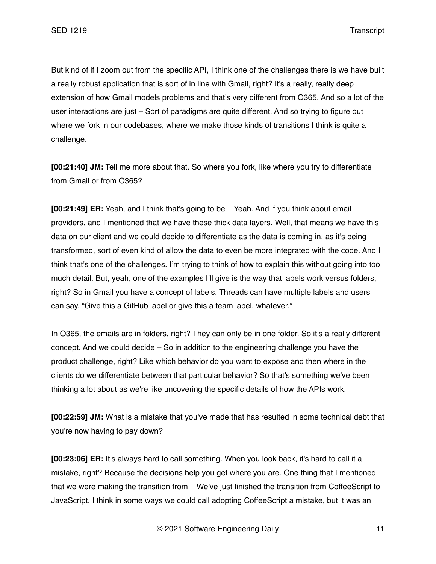But kind of if I zoom out from the specific API, I think one of the challenges there is we have built a really robust application that is sort of in line with Gmail, right? It's a really, really deep extension of how Gmail models problems and that's very different from O365. And so a lot of the user interactions are just – Sort of paradigms are quite different. And so trying to figure out where we fork in our codebases, where we make those kinds of transitions I think is quite a challenge.

**[00:21:40] JM:** Tell me more about that. So where you fork, like where you try to differentiate from Gmail or from O365?

**[00:21:49] ER:** Yeah, and I think that's going to be – Yeah. And if you think about email providers, and I mentioned that we have these thick data layers. Well, that means we have this data on our client and we could decide to differentiate as the data is coming in, as it's being transformed, sort of even kind of allow the data to even be more integrated with the code. And I think that's one of the challenges. I'm trying to think of how to explain this without going into too much detail. But, yeah, one of the examples I'll give is the way that labels work versus folders, right? So in Gmail you have a concept of labels. Threads can have multiple labels and users can say, "Give this a GitHub label or give this a team label, whatever."

In O365, the emails are in folders, right? They can only be in one folder. So it's a really different concept. And we could decide – So in addition to the engineering challenge you have the product challenge, right? Like which behavior do you want to expose and then where in the clients do we differentiate between that particular behavior? So that's something we've been thinking a lot about as we're like uncovering the specific details of how the APIs work.

**[00:22:59] JM:** What is a mistake that you've made that has resulted in some technical debt that you're now having to pay down?

**[00:23:06] ER:** It's always hard to call something. When you look back, it's hard to call it a mistake, right? Because the decisions help you get where you are. One thing that I mentioned that we were making the transition from – We've just finished the transition from CoffeeScript to JavaScript. I think in some ways we could call adopting CoffeeScript a mistake, but it was an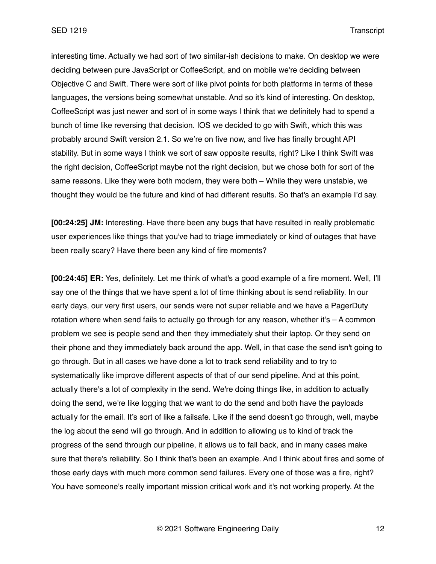interesting time. Actually we had sort of two similar-ish decisions to make. On desktop we were deciding between pure JavaScript or CoffeeScript, and on mobile we're deciding between Objective C and Swift. There were sort of like pivot points for both platforms in terms of these languages, the versions being somewhat unstable. And so it's kind of interesting. On desktop, CoffeeScript was just newer and sort of in some ways I think that we definitely had to spend a bunch of time like reversing that decision. IOS we decided to go with Swift, which this was probably around Swift version 2.1. So we're on five now, and five has finally brought API stability. But in some ways I think we sort of saw opposite results, right? Like I think Swift was the right decision, CoffeeScript maybe not the right decision, but we chose both for sort of the same reasons. Like they were both modern, they were both – While they were unstable, we thought they would be the future and kind of had different results. So that's an example I'd say.

**[00:24:25] JM:** Interesting. Have there been any bugs that have resulted in really problematic user experiences like things that you've had to triage immediately or kind of outages that have been really scary? Have there been any kind of fire moments?

**[00:24:45] ER:** Yes, definitely. Let me think of what's a good example of a fire moment. Well, I'll say one of the things that we have spent a lot of time thinking about is send reliability. In our early days, our very first users, our sends were not super reliable and we have a PagerDuty rotation where when send fails to actually go through for any reason, whether it's  $-$  A common problem we see is people send and then they immediately shut their laptop. Or they send on their phone and they immediately back around the app. Well, in that case the send isn't going to go through. But in all cases we have done a lot to track send reliability and to try to systematically like improve different aspects of that of our send pipeline. And at this point, actually there's a lot of complexity in the send. We're doing things like, in addition to actually doing the send, we're like logging that we want to do the send and both have the payloads actually for the email. It's sort of like a failsafe. Like if the send doesn't go through, well, maybe the log about the send will go through. And in addition to allowing us to kind of track the progress of the send through our pipeline, it allows us to fall back, and in many cases make sure that there's reliability. So I think that's been an example. And I think about fires and some of those early days with much more common send failures. Every one of those was a fire, right? You have someone's really important mission critical work and it's not working properly. At the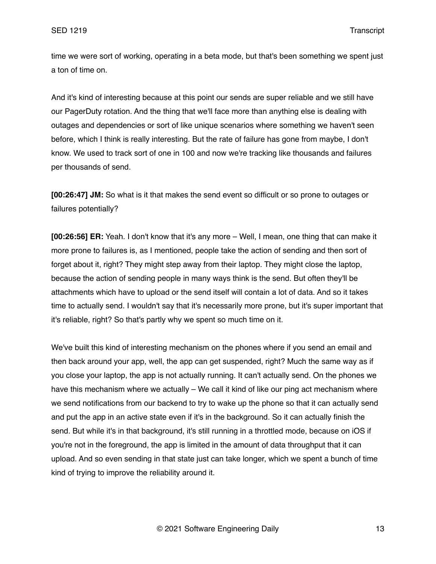time we were sort of working, operating in a beta mode, but that's been something we spent just a ton of time on.

And it's kind of interesting because at this point our sends are super reliable and we still have our PagerDuty rotation. And the thing that we'll face more than anything else is dealing with outages and dependencies or sort of like unique scenarios where something we haven't seen before, which I think is really interesting. But the rate of failure has gone from maybe, I don't know. We used to track sort of one in 100 and now we're tracking like thousands and failures per thousands of send.

**[00:26:47] JM:** So what is it that makes the send event so difficult or so prone to outages or failures potentially?

**[00:26:56] ER:** Yeah. I don't know that it's any more – Well, I mean, one thing that can make it more prone to failures is, as I mentioned, people take the action of sending and then sort of forget about it, right? They might step away from their laptop. They might close the laptop, because the action of sending people in many ways think is the send. But often they'll be attachments which have to upload or the send itself will contain a lot of data. And so it takes time to actually send. I wouldn't say that it's necessarily more prone, but it's super important that it's reliable, right? So that's partly why we spent so much time on it.

We've built this kind of interesting mechanism on the phones where if you send an email and then back around your app, well, the app can get suspended, right? Much the same way as if you close your laptop, the app is not actually running. It can't actually send. On the phones we have this mechanism where we actually – We call it kind of like our ping act mechanism where we send notifications from our backend to try to wake up the phone so that it can actually send and put the app in an active state even if it's in the background. So it can actually finish the send. But while it's in that background, it's still running in a throttled mode, because on iOS if you're not in the foreground, the app is limited in the amount of data throughput that it can upload. And so even sending in that state just can take longer, which we spent a bunch of time kind of trying to improve the reliability around it.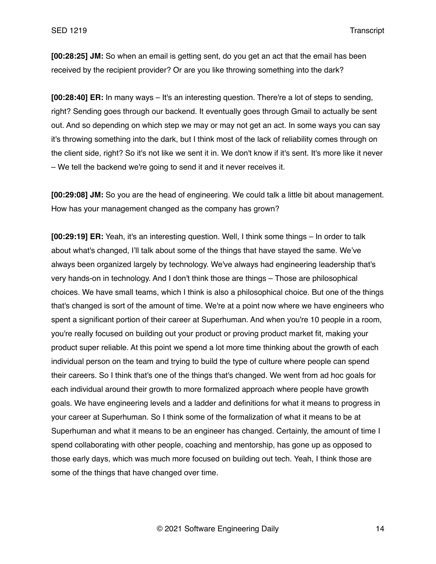**[00:28:25] JM:** So when an email is getting sent, do you get an act that the email has been received by the recipient provider? Or are you like throwing something into the dark?

**[00:28:40] ER:** In many ways – It's an interesting question. There're a lot of steps to sending, right? Sending goes through our backend. It eventually goes through Gmail to actually be sent out. And so depending on which step we may or may not get an act. In some ways you can say it's throwing something into the dark, but I think most of the lack of reliability comes through on the client side, right? So it's not like we sent it in. We don't know if it's sent. It's more like it never – We tell the backend we're going to send it and it never receives it.

**[00:29:08] JM:** So you are the head of engineering. We could talk a little bit about management. How has your management changed as the company has grown?

**[00:29:19] ER:** Yeah, it's an interesting question. Well, I think some things – In order to talk about what's changed, I'll talk about some of the things that have stayed the same. We've always been organized largely by technology. We've always had engineering leadership that's very hands-on in technology. And I don't think those are things – Those are philosophical choices. We have small teams, which I think is also a philosophical choice. But one of the things that's changed is sort of the amount of time. We're at a point now where we have engineers who spent a significant portion of their career at Superhuman. And when you're 10 people in a room, you're really focused on building out your product or proving product market fit, making your product super reliable. At this point we spend a lot more time thinking about the growth of each individual person on the team and trying to build the type of culture where people can spend their careers. So I think that's one of the things that's changed. We went from ad hoc goals for each individual around their growth to more formalized approach where people have growth goals. We have engineering levels and a ladder and definitions for what it means to progress in your career at Superhuman. So I think some of the formalization of what it means to be at Superhuman and what it means to be an engineer has changed. Certainly, the amount of time I spend collaborating with other people, coaching and mentorship, has gone up as opposed to those early days, which was much more focused on building out tech. Yeah, I think those are some of the things that have changed over time.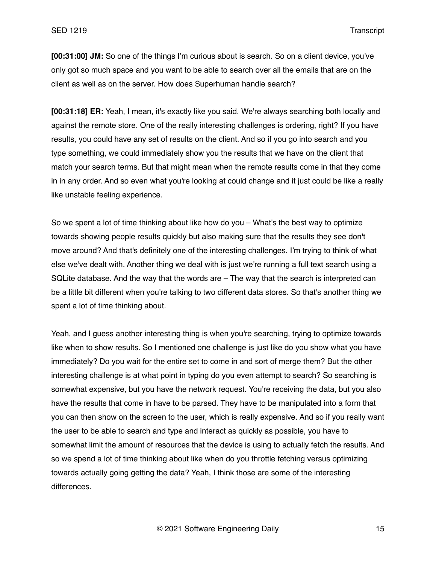**[00:31:00] JM:** So one of the things I'm curious about is search. So on a client device, you've only got so much space and you want to be able to search over all the emails that are on the client as well as on the server. How does Superhuman handle search?

**[00:31:18] ER:** Yeah, I mean, it's exactly like you said. We're always searching both locally and against the remote store. One of the really interesting challenges is ordering, right? If you have results, you could have any set of results on the client. And so if you go into search and you type something, we could immediately show you the results that we have on the client that match your search terms. But that might mean when the remote results come in that they come in in any order. And so even what you're looking at could change and it just could be like a really like unstable feeling experience.

So we spent a lot of time thinking about like how do you – What's the best way to optimize towards showing people results quickly but also making sure that the results they see don't move around? And that's definitely one of the interesting challenges. I'm trying to think of what else we've dealt with. Another thing we deal with is just we're running a full text search using a SQLite database. And the way that the words are – The way that the search is interpreted can be a little bit different when you're talking to two different data stores. So that's another thing we spent a lot of time thinking about.

Yeah, and I guess another interesting thing is when you're searching, trying to optimize towards like when to show results. So I mentioned one challenge is just like do you show what you have immediately? Do you wait for the entire set to come in and sort of merge them? But the other interesting challenge is at what point in typing do you even attempt to search? So searching is somewhat expensive, but you have the network request. You're receiving the data, but you also have the results that come in have to be parsed. They have to be manipulated into a form that you can then show on the screen to the user, which is really expensive. And so if you really want the user to be able to search and type and interact as quickly as possible, you have to somewhat limit the amount of resources that the device is using to actually fetch the results. And so we spend a lot of time thinking about like when do you throttle fetching versus optimizing towards actually going getting the data? Yeah, I think those are some of the interesting differences.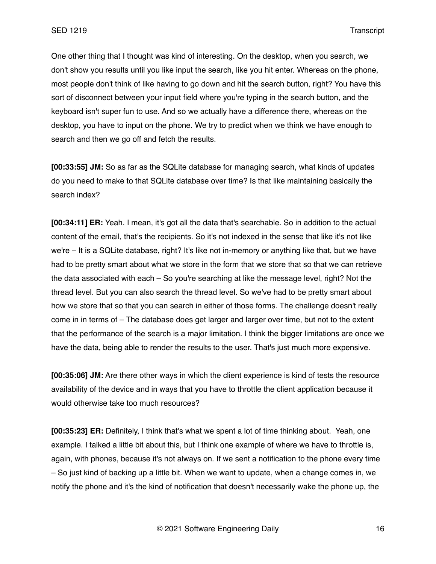One other thing that I thought was kind of interesting. On the desktop, when you search, we don't show you results until you like input the search, like you hit enter. Whereas on the phone, most people don't think of like having to go down and hit the search button, right? You have this sort of disconnect between your input field where you're typing in the search button, and the keyboard isn't super fun to use. And so we actually have a difference there, whereas on the desktop, you have to input on the phone. We try to predict when we think we have enough to search and then we go off and fetch the results.

**[00:33:55] JM:** So as far as the SQLite database for managing search, what kinds of updates do you need to make to that SQLite database over time? Is that like maintaining basically the search index?

**[00:34:11] ER:** Yeah. I mean, it's got all the data that's searchable. So in addition to the actual content of the email, that's the recipients. So it's not indexed in the sense that like it's not like we're – It is a SQLite database, right? It's like not in-memory or anything like that, but we have had to be pretty smart about what we store in the form that we store that so that we can retrieve the data associated with each – So you're searching at like the message level, right? Not the thread level. But you can also search the thread level. So we've had to be pretty smart about how we store that so that you can search in either of those forms. The challenge doesn't really come in in terms of – The database does get larger and larger over time, but not to the extent that the performance of the search is a major limitation. I think the bigger limitations are once we have the data, being able to render the results to the user. That's just much more expensive.

**[00:35:06] JM:** Are there other ways in which the client experience is kind of tests the resource availability of the device and in ways that you have to throttle the client application because it would otherwise take too much resources?

**[00:35:23] ER:** Definitely, I think that's what we spent a lot of time thinking about. Yeah, one example. I talked a little bit about this, but I think one example of where we have to throttle is, again, with phones, because it's not always on. If we sent a notification to the phone every time – So just kind of backing up a little bit. When we want to update, when a change comes in, we notify the phone and it's the kind of notification that doesn't necessarily wake the phone up, the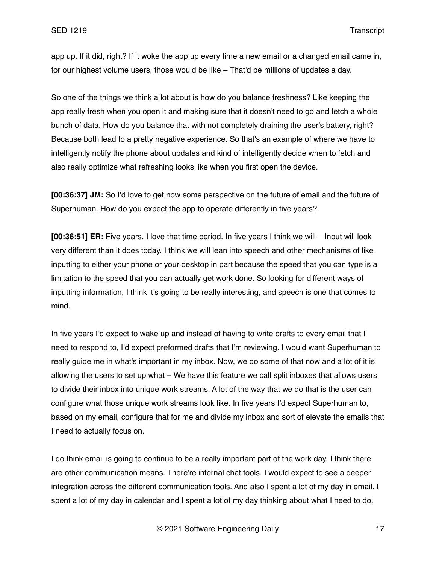app up. If it did, right? If it woke the app up every time a new email or a changed email came in, for our highest volume users, those would be like – That'd be millions of updates a day.

So one of the things we think a lot about is how do you balance freshness? Like keeping the app really fresh when you open it and making sure that it doesn't need to go and fetch a whole bunch of data. How do you balance that with not completely draining the user's battery, right? Because both lead to a pretty negative experience. So that's an example of where we have to intelligently notify the phone about updates and kind of intelligently decide when to fetch and also really optimize what refreshing looks like when you first open the device.

**[00:36:37] JM:** So I'd love to get now some perspective on the future of email and the future of Superhuman. How do you expect the app to operate differently in five years?

**[00:36:51] ER:** Five years. I love that time period. In five years I think we will – Input will look very different than it does today. I think we will lean into speech and other mechanisms of like inputting to either your phone or your desktop in part because the speed that you can type is a limitation to the speed that you can actually get work done. So looking for different ways of inputting information, I think it's going to be really interesting, and speech is one that comes to mind.

In five years I'd expect to wake up and instead of having to write drafts to every email that I need to respond to, I'd expect preformed drafts that I'm reviewing. I would want Superhuman to really guide me in what's important in my inbox. Now, we do some of that now and a lot of it is allowing the users to set up what – We have this feature we call split inboxes that allows users to divide their inbox into unique work streams. A lot of the way that we do that is the user can configure what those unique work streams look like. In five years I'd expect Superhuman to, based on my email, configure that for me and divide my inbox and sort of elevate the emails that I need to actually focus on.

I do think email is going to continue to be a really important part of the work day. I think there are other communication means. There're internal chat tools. I would expect to see a deeper integration across the different communication tools. And also I spent a lot of my day in email. I spent a lot of my day in calendar and I spent a lot of my day thinking about what I need to do.